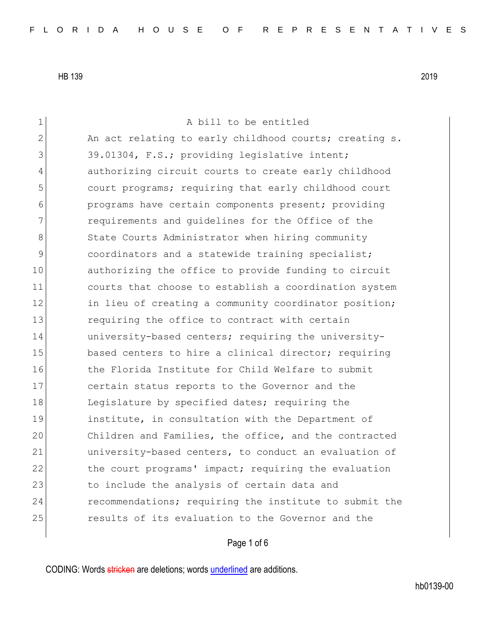1 a bill to be entitled 2 An act relating to early childhood courts; creating s. 3 39.01304, F.S.; providing legislative intent; 4 authorizing circuit courts to create early childhood 5 5 5 court programs; requiring that early childhood court 6 **programs have certain components present;** providing 7 requirements and guidelines for the Office of the 8 State Courts Administrator when hiring community 9 coordinators and a statewide training specialist; 10 authorizing the office to provide funding to circuit 11 courts that choose to establish a coordination system 12 in lieu of creating a community coordinator position; 13 **13** requiring the office to contract with certain 14 university-based centers; requiring the university-15 based centers to hire a clinical director; requiring 16 16 the Florida Institute for Child Welfare to submit 17 certain status reports to the Governor and the 18 Legislature by specified dates; requiring the 19 institute, in consultation with the Department of 20 Children and Families, the office, and the contracted 21 university-based centers, to conduct an evaluation of 22 the court programs' impact; requiring the evaluation 23 to include the analysis of certain data and 24 recommendations; requiring the institute to submit the 25 **19 results of its evaluation to the Governor and the** 

## Page 1 of 6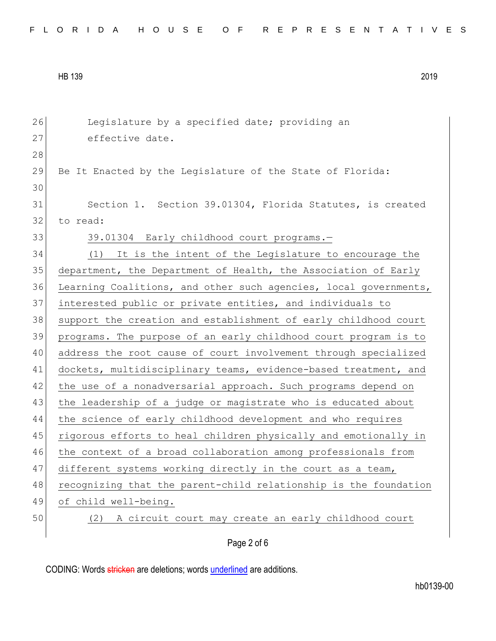| FLORIDA HOUSE OF REPRESENTATIVES |  |
|----------------------------------|--|
|----------------------------------|--|

| 26 | Legislature by a specified date; providing an                    |
|----|------------------------------------------------------------------|
| 27 | effective date.                                                  |
| 28 |                                                                  |
| 29 | Be It Enacted by the Legislature of the State of Florida:        |
| 30 |                                                                  |
| 31 | Section 1. Section 39.01304, Florida Statutes, is created        |
| 32 | to read:                                                         |
| 33 | 39.01304 Early childhood court programs.-                        |
| 34 | (1)<br>It is the intent of the Legislature to encourage the      |
| 35 | department, the Department of Health, the Association of Early   |
| 36 | Learning Coalitions, and other such agencies, local governments, |
| 37 | interested public or private entities, and individuals to        |
| 38 | support the creation and establishment of early childhood court  |
| 39 | programs. The purpose of an early childhood court program is to  |
| 40 | address the root cause of court involvement through specialized  |
| 41 | dockets, multidisciplinary teams, evidence-based treatment, and  |
| 42 | the use of a nonadversarial approach. Such programs depend on    |
| 43 | the leadership of a judge or magistrate who is educated about    |
| 44 | the science of early childhood development and who requires      |
| 45 | rigorous efforts to heal children physically and emotionally in  |
| 46 | the context of a broad collaboration among professionals from    |
| 47 | different systems working directly in the court as a team,       |
| 48 | recognizing that the parent-child relationship is the foundation |
| 49 | of child well-being.                                             |
| 50 | A circuit court may create an early childhood court<br>(2)       |
|    | Page 2 of 6                                                      |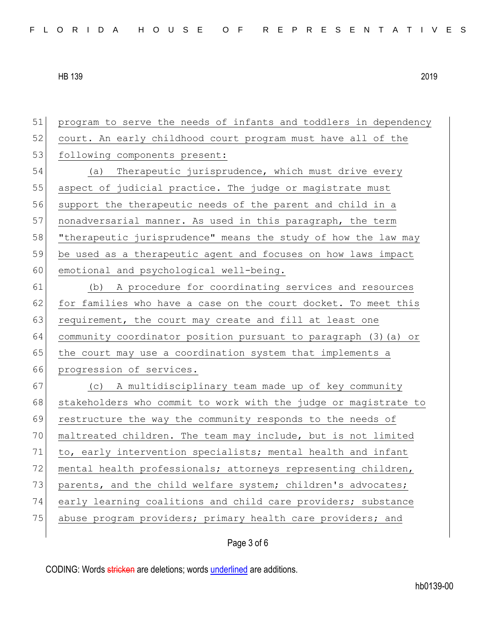| 51 | program to serve the needs of infants and toddlers in dependency |
|----|------------------------------------------------------------------|
| 52 | court. An early childhood court program must have all of the     |
| 53 | following components present:                                    |
| 54 | Therapeutic jurisprudence, which must drive every<br>(a)         |
| 55 | aspect of judicial practice. The judge or magistrate must        |
| 56 | support the therapeutic needs of the parent and child in a       |
| 57 | nonadversarial manner. As used in this paragraph, the term       |
| 58 | "therapeutic jurisprudence" means the study of how the law may   |
| 59 | be used as a therapeutic agent and focuses on how laws impact    |
| 60 | emotional and psychological well-being.                          |
| 61 | A procedure for coordinating services and resources<br>(b)       |
| 62 | for families who have a case on the court docket. To meet this   |
| 63 | requirement, the court may create and fill at least one          |
| 64 | community coordinator position pursuant to paragraph (3) (a) or  |
| 65 | the court may use a coordination system that implements a        |
| 66 | progression of services.                                         |
| 67 | (c) A multidisciplinary team made up of key community            |
| 68 | stakeholders who commit to work with the judge or magistrate to  |
| 69 | restructure the way the community responds to the needs of       |
| 70 | maltreated children. The team may include, but is not limited    |
| 71 | to, early intervention specialists; mental health and infant     |
| 72 | mental health professionals; attorneys representing children,    |
| 73 | parents, and the child welfare system; children's advocates;     |
| 74 | early learning coalitions and child care providers; substance    |
| 75 | abuse program providers; primary health care providers; and      |
|    |                                                                  |

Page 3 of 6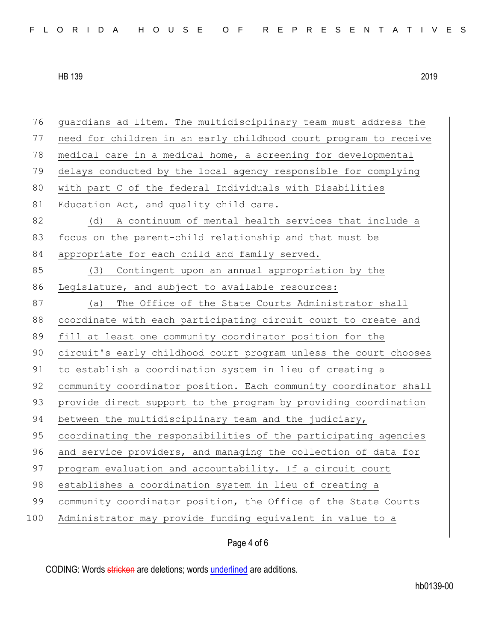76 guardians ad litem. The multidisciplinary team must address the 77 need for children in an early childhood court program to receive 78 medical care in a medical home, a screening for developmental 79 delays conducted by the local agency responsible for complying 80 with part C of the federal Individuals with Disabilities 81 Education Act, and quality child care. 82 (d) A continuum of mental health services that include a 83 focus on the parent-child relationship and that must be 84 appropriate for each child and family served. 85 (3) Contingent upon an annual appropriation by the 86 Legislature, and subject to available resources: 87 (a) The Office of the State Courts Administrator shall 88 coordinate with each participating circuit court to create and 89 fill at least one community coordinator position for the 90 circuit's early childhood court program unless the court chooses 91 to establish a coordination system in lieu of creating a 92 community coordinator position. Each community coordinator shall 93 provide direct support to the program by providing coordination 94 between the multidisciplinary team and the judiciary, 95 coordinating the responsibilities of the participating agencies 96 and service providers, and managing the collection of data for 97 program evaluation and accountability. If a circuit court 98 establishes a coordination system in lieu of creating a 99 community coordinator position, the Office of the State Courts 100 Administrator may provide funding equivalent in value to a

## Page 4 of 6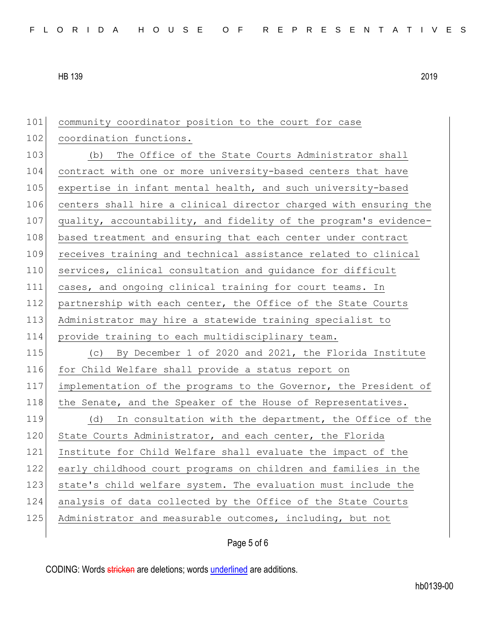| 101 | community coordinator position to the court for case             |
|-----|------------------------------------------------------------------|
| 102 | coordination functions.                                          |
| 103 | The Office of the State Courts Administrator shall<br>(b)        |
| 104 | contract with one or more university-based centers that have     |
| 105 | expertise in infant mental health, and such university-based     |
| 106 | centers shall hire a clinical director charged with ensuring the |
| 107 | quality, accountability, and fidelity of the program's evidence- |
| 108 | based treatment and ensuring that each center under contract     |
| 109 | receives training and technical assistance related to clinical   |
| 110 | services, clinical consultation and guidance for difficult       |
| 111 | cases, and ongoing clinical training for court teams. In         |
| 112 | partnership with each center, the Office of the State Courts     |
| 113 | Administrator may hire a statewide training specialist to        |
|     |                                                                  |
| 114 | provide training to each multidisciplinary team.                 |
| 115 | (c) By December 1 of 2020 and 2021, the Florida Institute        |
| 116 | for Child Welfare shall provide a status report on               |
| 117 | implementation of the programs to the Governor, the President of |
| 118 | the Senate, and the Speaker of the House of Representatives.     |
| 119 | In consultation with the department, the Office of the<br>(d)    |
| 120 | State Courts Administrator, and each center, the Florida         |
| 121 | Institute for Child Welfare shall evaluate the impact of the     |
| 122 | early childhood court programs on children and families in the   |
| 123 | state's child welfare system. The evaluation must include the    |
| 124 | analysis of data collected by the Office of the State Courts     |
| 125 | Administrator and measurable outcomes, including, but not        |

Page 5 of 6